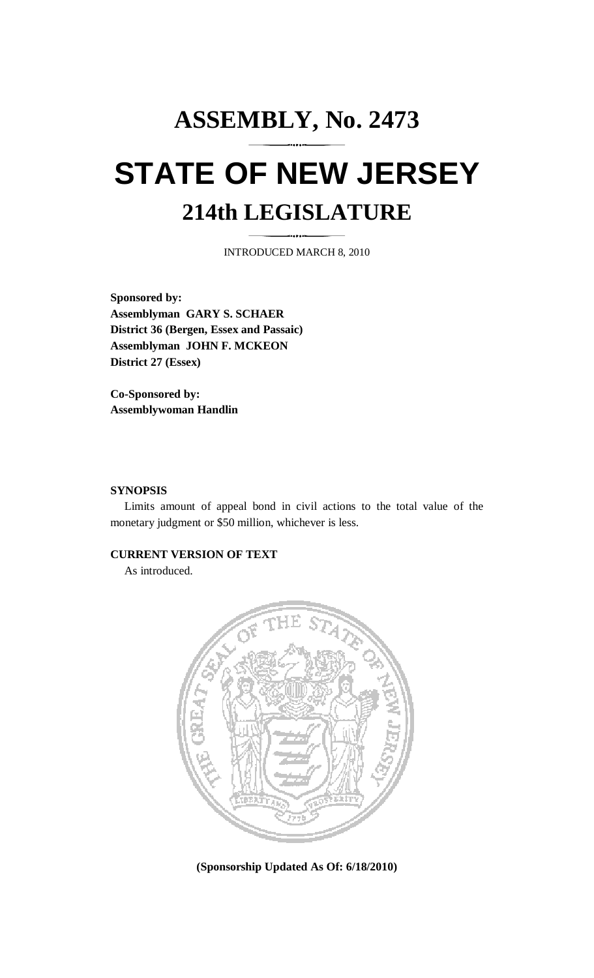# **ASSEMBLY, No. 2473 STATE OF NEW JERSEY 214th LEGISLATURE**

INTRODUCED MARCH 8, 2010

**Sponsored by: Assemblyman GARY S. SCHAER District 36 (Bergen, Essex and Passaic) Assemblyman JOHN F. MCKEON District 27 (Essex)** 

**Co-Sponsored by: Assemblywoman Handlin** 

### **SYNOPSIS**

 Limits amount of appeal bond in civil actions to the total value of the monetary judgment or \$50 million, whichever is less.

## **CURRENT VERSION OF TEXT**

As introduced.



**(Sponsorship Updated As Of: 6/18/2010)**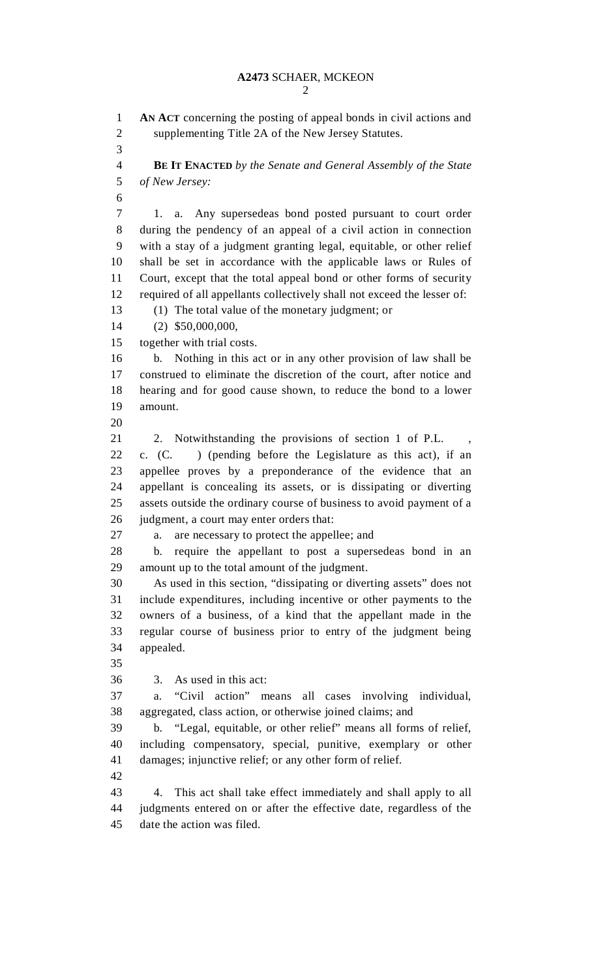2

1 **AN ACT** concerning the posting of appeal bonds in civil actions and 2 supplementing Title 2A of the New Jersey Statutes. 3 4 **BE IT ENACTED** *by the Senate and General Assembly of the State*  5 *of New Jersey:*  6 7 1. a. Any supersedeas bond posted pursuant to court order 8 during the pendency of an appeal of a civil action in connection 9 with a stay of a judgment granting legal, equitable, or other relief 10 shall be set in accordance with the applicable laws or Rules of 11 Court, except that the total appeal bond or other forms of security 12 required of all appellants collectively shall not exceed the lesser of: 13 (1) The total value of the monetary judgment; or 14 (2) \$50,000,000, 15 together with trial costs. 16 b. Nothing in this act or in any other provision of law shall be 17 construed to eliminate the discretion of the court, after notice and 18 hearing and for good cause shown, to reduce the bond to a lower 19 amount.  $20$ 21 2. Notwithstanding the provisions of section 1 of P.L. 22 c. (C. ) (pending before the Legislature as this act), if an 23 appellee proves by a preponderance of the evidence that an 24 appellant is concealing its assets, or is dissipating or diverting 25 assets outside the ordinary course of business to avoid payment of a 26 judgment, a court may enter orders that: 27 a. are necessary to protect the appellee; and 28 b. require the appellant to post a supersedeas bond in an 29 amount up to the total amount of the judgment. 30 As used in this section, "dissipating or diverting assets" does not 31 include expenditures, including incentive or other payments to the 32 owners of a business, of a kind that the appellant made in the 33 regular course of business prior to entry of the judgment being 34 appealed. 35 36 3. As used in this act: 37 a. "Civil action" means all cases involving individual, 38 aggregated, class action, or otherwise joined claims; and 39 b. "Legal, equitable, or other relief" means all forms of relief, 40 including compensatory, special, punitive, exemplary or other 41 damages; injunctive relief; or any other form of relief. 42 43 4. This act shall take effect immediately and shall apply to all 44 judgments entered on or after the effective date, regardless of the 45 date the action was filed.